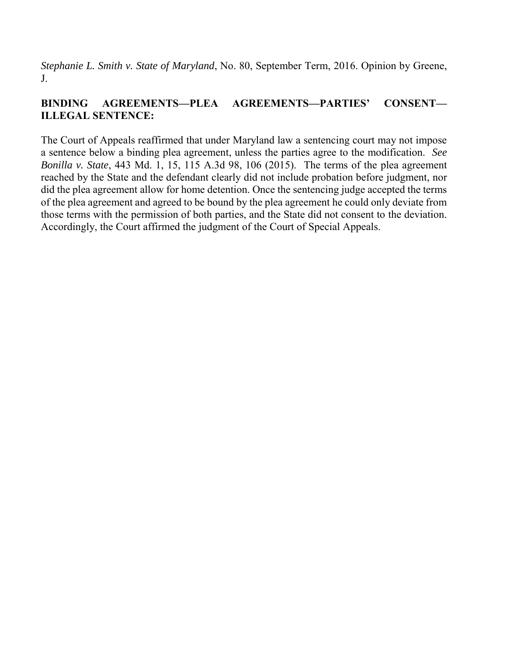*Stephanie L. Smith v. State of Maryland*, No. 80, September Term, 2016. Opinion by Greene, J.

# **BINDING AGREEMENTS—PLEA AGREEMENTS—PARTIES' CONSENT— ILLEGAL SENTENCE:**

The Court of Appeals reaffirmed that under Maryland law a sentencing court may not impose a sentence below a binding plea agreement, unless the parties agree to the modification. *See Bonilla v. State*, 443 Md. 1, 15, 115 A.3d 98, 106 (2015). The terms of the plea agreement reached by the State and the defendant clearly did not include probation before judgment, nor did the plea agreement allow for home detention. Once the sentencing judge accepted the terms of the plea agreement and agreed to be bound by the plea agreement he could only deviate from those terms with the permission of both parties, and the State did not consent to the deviation. Accordingly, the Court affirmed the judgment of the Court of Special Appeals.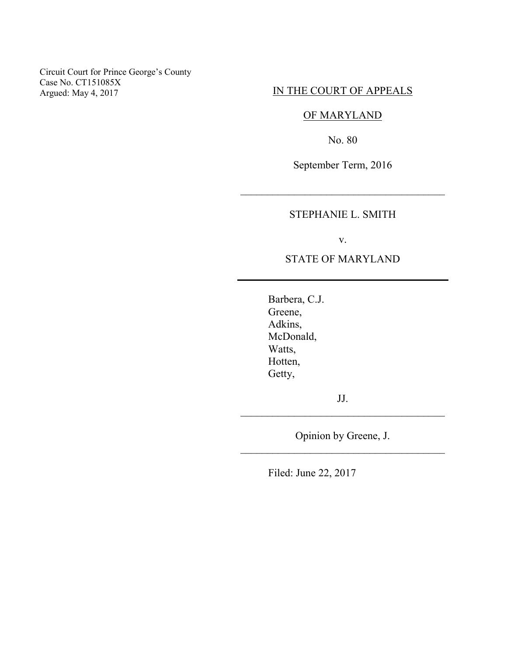Circuit Court for Prince George's County Case No. CT151085X Argued: May 4, 2017

# IN THE COURT OF APPEALS

# OF MARYLAND

No. 80

September Term, 2016

\_\_\_\_\_\_\_\_\_\_\_\_\_\_\_\_\_\_\_\_\_\_\_\_\_\_\_\_\_\_\_\_\_\_\_\_\_\_

STEPHANIE L. SMITH

v.

## STATE OF MARYLAND

Barbera, C.J. Greene, Adkins, McDonald, Watts, Hotten, Getty,

JJ. \_\_\_\_\_\_\_\_\_\_\_\_\_\_\_\_\_\_\_\_\_\_\_\_\_\_\_\_\_\_\_\_\_\_\_\_\_\_

Opinion by Greene, J. \_\_\_\_\_\_\_\_\_\_\_\_\_\_\_\_\_\_\_\_\_\_\_\_\_\_\_\_\_\_\_\_\_\_\_\_\_\_

Filed: June 22, 2017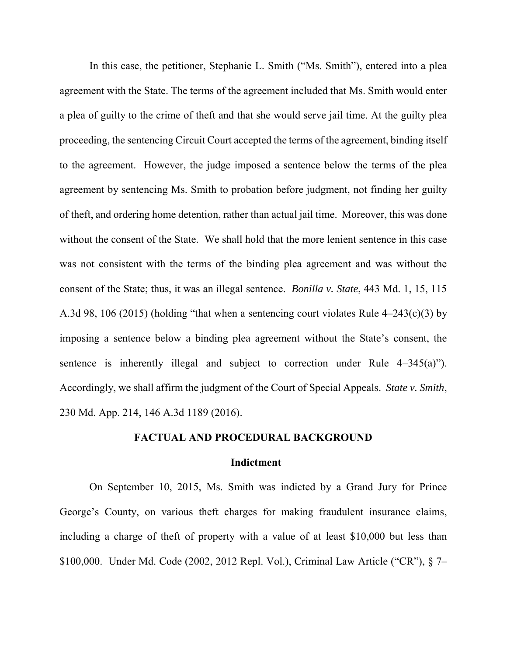In this case, the petitioner, Stephanie L. Smith ("Ms. Smith"), entered into a plea agreement with the State. The terms of the agreement included that Ms. Smith would enter a plea of guilty to the crime of theft and that she would serve jail time. At the guilty plea proceeding, the sentencing Circuit Court accepted the terms of the agreement, binding itself to the agreement. However, the judge imposed a sentence below the terms of the plea agreement by sentencing Ms. Smith to probation before judgment, not finding her guilty of theft, and ordering home detention, rather than actual jail time. Moreover, this was done without the consent of the State. We shall hold that the more lenient sentence in this case was not consistent with the terms of the binding plea agreement and was without the consent of the State; thus, it was an illegal sentence. *Bonilla v. State*, 443 Md. 1, 15, 115 A.3d 98, 106 (2015) (holding "that when a sentencing court violates Rule 4–243(c)(3) by imposing a sentence below a binding plea agreement without the State's consent, the sentence is inherently illegal and subject to correction under Rule 4–345(a)"). Accordingly, we shall affirm the judgment of the Court of Special Appeals. *State v. Smith*, 230 Md. App. 214, 146 A.3d 1189 (2016).

## **FACTUAL AND PROCEDURAL BACKGROUND**

#### **Indictment**

On September 10, 2015, Ms. Smith was indicted by a Grand Jury for Prince George's County, on various theft charges for making fraudulent insurance claims, including a charge of theft of property with a value of at least \$10,000 but less than \$100,000. Under Md. Code (2002, 2012 Repl. Vol.), Criminal Law Article ("CR"), § 7–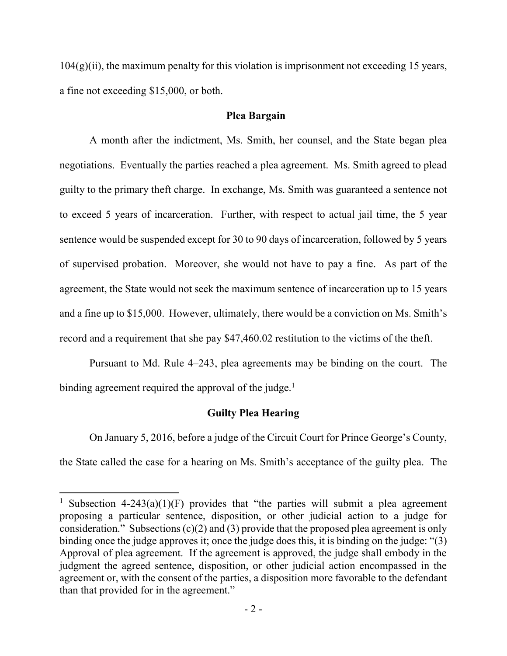$104(g)(ii)$ , the maximum penalty for this violation is imprisonment not exceeding 15 years, a fine not exceeding \$15,000, or both.

## **Plea Bargain**

A month after the indictment, Ms. Smith, her counsel, and the State began plea negotiations. Eventually the parties reached a plea agreement. Ms. Smith agreed to plead guilty to the primary theft charge. In exchange, Ms. Smith was guaranteed a sentence not to exceed 5 years of incarceration. Further, with respect to actual jail time, the 5 year sentence would be suspended except for 30 to 90 days of incarceration, followed by 5 years of supervised probation. Moreover, she would not have to pay a fine. As part of the agreement, the State would not seek the maximum sentence of incarceration up to 15 years and a fine up to \$15,000. However, ultimately, there would be a conviction on Ms. Smith's record and a requirement that she pay \$47,460.02 restitution to the victims of the theft.

Pursuant to Md. Rule 4–243, plea agreements may be binding on the court. The binding agreement required the approval of the judge.<sup>1</sup>

# **Guilty Plea Hearing**

On January 5, 2016, before a judge of the Circuit Court for Prince George's County, the State called the case for a hearing on Ms. Smith's acceptance of the guilty plea. The

 $\overline{\phantom{a}}$ 

<sup>&</sup>lt;sup>1</sup> Subsection 4-243(a)(1)(F) provides that "the parties will submit a plea agreement proposing a particular sentence, disposition, or other judicial action to a judge for consideration." Subsections (c)(2) and (3) provide that the proposed plea agreement is only binding once the judge approves it; once the judge does this, it is binding on the judge: "(3) Approval of plea agreement. If the agreement is approved, the judge shall embody in the judgment the agreed sentence, disposition, or other judicial action encompassed in the agreement or, with the consent of the parties, a disposition more favorable to the defendant than that provided for in the agreement."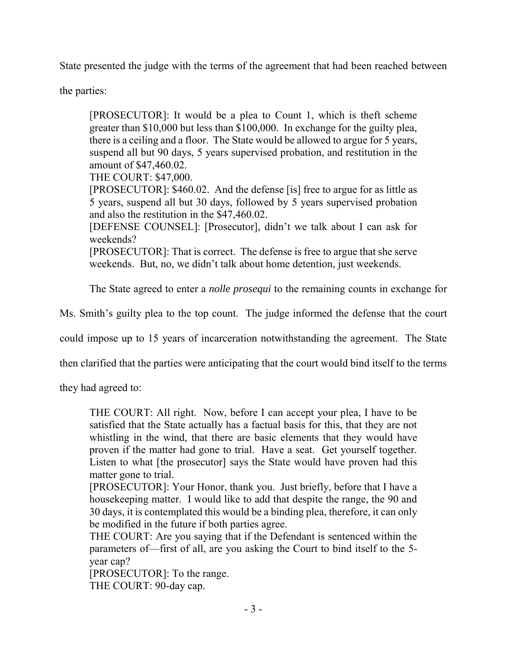State presented the judge with the terms of the agreement that had been reached between

the parties:

[PROSECUTOR]: It would be a plea to Count 1, which is theft scheme greater than \$10,000 but less than \$100,000. In exchange for the guilty plea, there is a ceiling and a floor. The State would be allowed to argue for 5 years, suspend all but 90 days, 5 years supervised probation, and restitution in the amount of \$47,460.02.

THE COURT: \$47,000.

[PROSECUTOR]: \$460.02. And the defense [is] free to argue for as little as 5 years, suspend all but 30 days, followed by 5 years supervised probation and also the restitution in the \$47,460.02.

[DEFENSE COUNSEL]: [Prosecutor], didn't we talk about I can ask for weekends?

[PROSECUTOR]: That is correct. The defense is free to argue that she serve weekends. But, no, we didn't talk about home detention, just weekends.

The State agreed to enter a *nolle prosequi* to the remaining counts in exchange for

Ms. Smith's guilty plea to the top count. The judge informed the defense that the court

could impose up to 15 years of incarceration notwithstanding the agreement. The State

then clarified that the parties were anticipating that the court would bind itself to the terms

they had agreed to:

THE COURT: All right. Now, before I can accept your plea, I have to be satisfied that the State actually has a factual basis for this, that they are not whistling in the wind, that there are basic elements that they would have proven if the matter had gone to trial. Have a seat. Get yourself together. Listen to what [the prosecutor] says the State would have proven had this matter gone to trial.

[PROSECUTOR]: Your Honor, thank you. Just briefly, before that I have a housekeeping matter. I would like to add that despite the range, the 90 and 30 days, it is contemplated this would be a binding plea, therefore, it can only be modified in the future if both parties agree.

THE COURT: Are you saying that if the Defendant is sentenced within the parameters of—first of all, are you asking the Court to bind itself to the 5 year cap?

[PROSECUTOR]: To the range. THE COURT: 90-day cap.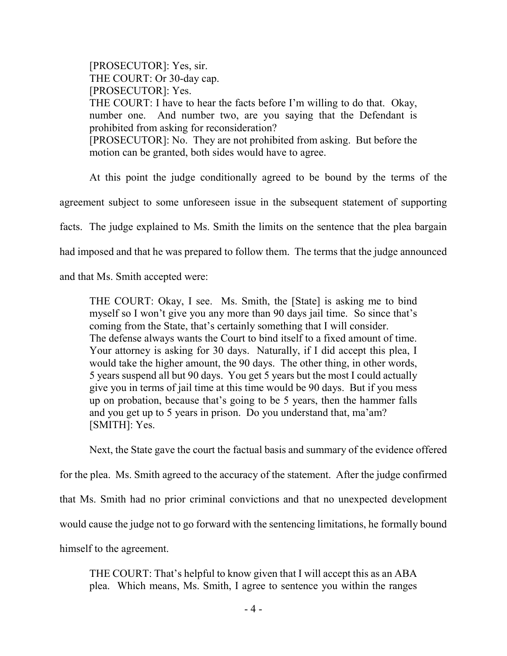[PROSECUTOR]: Yes, sir. THE COURT: Or 30-day cap. [PROSECUTOR]: Yes. THE COURT: I have to hear the facts before I'm willing to do that. Okay, number one. And number two, are you saying that the Defendant is prohibited from asking for reconsideration? [PROSECUTOR]: No. They are not prohibited from asking. But before the motion can be granted, both sides would have to agree.

At this point the judge conditionally agreed to be bound by the terms of the

agreement subject to some unforeseen issue in the subsequent statement of supporting

facts. The judge explained to Ms. Smith the limits on the sentence that the plea bargain

had imposed and that he was prepared to follow them. The terms that the judge announced

and that Ms. Smith accepted were:

THE COURT: Okay, I see. Ms. Smith, the [State] is asking me to bind myself so I won't give you any more than 90 days jail time. So since that's coming from the State, that's certainly something that I will consider. The defense always wants the Court to bind itself to a fixed amount of time. Your attorney is asking for 30 days. Naturally, if I did accept this plea, I would take the higher amount, the 90 days. The other thing, in other words, 5 years suspend all but 90 days. You get 5 years but the most I could actually give you in terms of jail time at this time would be 90 days. But if you mess up on probation, because that's going to be 5 years, then the hammer falls and you get up to 5 years in prison. Do you understand that, ma'am? [SMITH]: Yes.

 Next, the State gave the court the factual basis and summary of the evidence offered for the plea. Ms. Smith agreed to the accuracy of the statement. After the judge confirmed that Ms. Smith had no prior criminal convictions and that no unexpected development would cause the judge not to go forward with the sentencing limitations, he formally bound

himself to the agreement.

THE COURT: That's helpful to know given that I will accept this as an ABA plea. Which means, Ms. Smith, I agree to sentence you within the ranges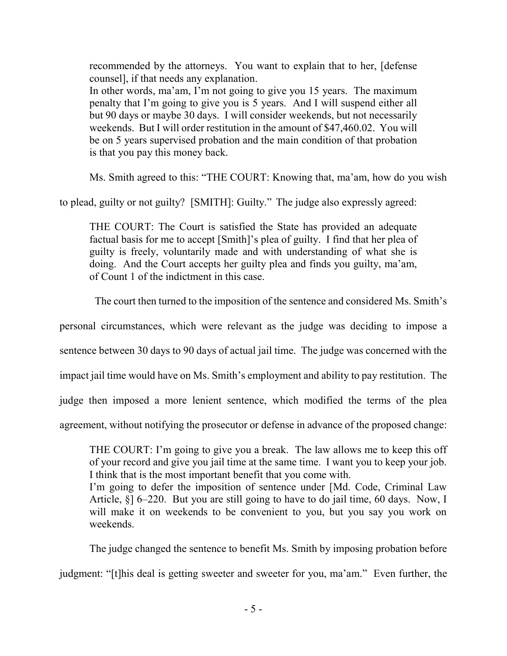recommended by the attorneys. You want to explain that to her, [defense counsel], if that needs any explanation.

In other words, ma'am, I'm not going to give you 15 years. The maximum penalty that I'm going to give you is 5 years. And I will suspend either all but 90 days or maybe 30 days. I will consider weekends, but not necessarily weekends. But I will order restitution in the amount of \$47,460.02. You will be on 5 years supervised probation and the main condition of that probation is that you pay this money back.

Ms. Smith agreed to this: "THE COURT: Knowing that, ma'am, how do you wish

to plead, guilty or not guilty? [SMITH]: Guilty." The judge also expressly agreed:

THE COURT: The Court is satisfied the State has provided an adequate factual basis for me to accept [Smith]'s plea of guilty. I find that her plea of guilty is freely, voluntarily made and with understanding of what she is doing. And the Court accepts her guilty plea and finds you guilty, ma'am, of Count 1 of the indictment in this case.

The court then turned to the imposition of the sentence and considered Ms. Smith's

personal circumstances, which were relevant as the judge was deciding to impose a

sentence between 30 days to 90 days of actual jail time. The judge was concerned with the

impact jail time would have on Ms. Smith's employment and ability to pay restitution. The

judge then imposed a more lenient sentence, which modified the terms of the plea

agreement, without notifying the prosecutor or defense in advance of the proposed change:

THE COURT: I'm going to give you a break. The law allows me to keep this off of your record and give you jail time at the same time. I want you to keep your job. I think that is the most important benefit that you come with. I'm going to defer the imposition of sentence under [Md. Code, Criminal Law

Article, §] 6–220. But you are still going to have to do jail time, 60 days. Now, I will make it on weekends to be convenient to you, but you say you work on weekends.

The judge changed the sentence to benefit Ms. Smith by imposing probation before

judgment: "[t]his deal is getting sweeter and sweeter for you, ma'am." Even further, the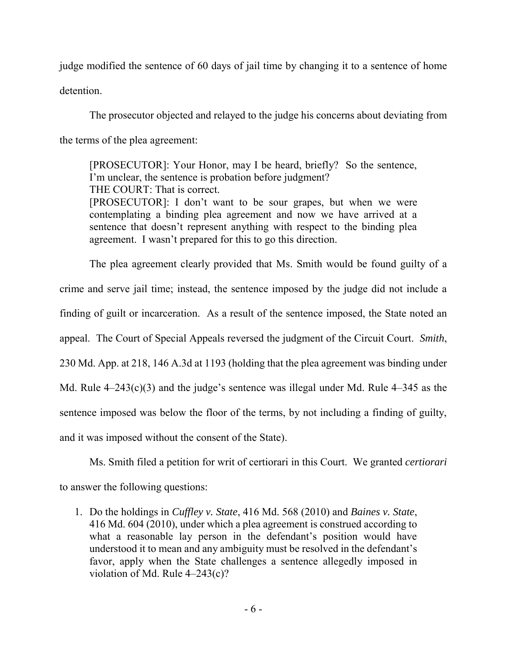judge modified the sentence of 60 days of jail time by changing it to a sentence of home detention.

The prosecutor objected and relayed to the judge his concerns about deviating from the terms of the plea agreement:

[PROSECUTOR]: Your Honor, may I be heard, briefly? So the sentence, I'm unclear, the sentence is probation before judgment? THE COURT: That is correct.

[PROSECUTOR]: I don't want to be sour grapes, but when we were contemplating a binding plea agreement and now we have arrived at a sentence that doesn't represent anything with respect to the binding plea agreement. I wasn't prepared for this to go this direction.

The plea agreement clearly provided that Ms. Smith would be found guilty of a crime and serve jail time; instead, the sentence imposed by the judge did not include a finding of guilt or incarceration. As a result of the sentence imposed, the State noted an appeal. The Court of Special Appeals reversed the judgment of the Circuit Court. *Smith*, 230 Md. App. at 218, 146 A.3d at 1193 (holding that the plea agreement was binding under Md. Rule 4–243(c)(3) and the judge's sentence was illegal under Md. Rule 4–345 as the sentence imposed was below the floor of the terms, by not including a finding of guilty, and it was imposed without the consent of the State).

Ms. Smith filed a petition for writ of certiorari in this Court. We granted *certiorari*  to answer the following questions:

1. Do the holdings in *Cuffley v. State*, 416 Md. 568 (2010) and *Baines v. State*, 416 Md. 604 (2010), under which a plea agreement is construed according to what a reasonable lay person in the defendant's position would have understood it to mean and any ambiguity must be resolved in the defendant's favor, apply when the State challenges a sentence allegedly imposed in violation of Md. Rule 4–243(c)?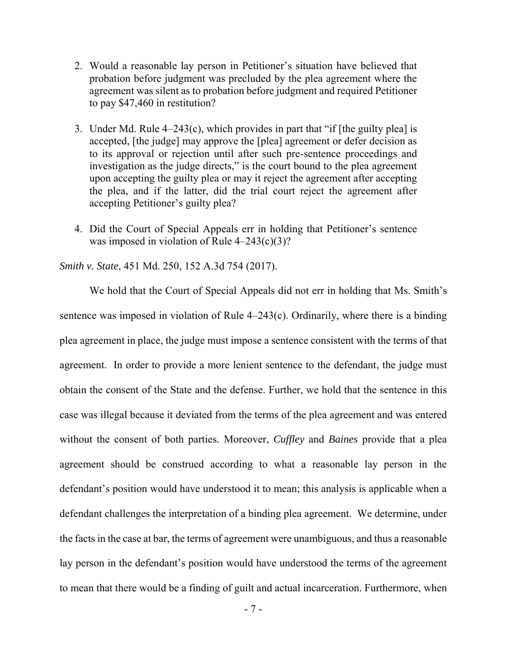- 2. Would a reasonable lay person in Petitioner's situation have believed that probation before judgment was precluded by the plea agreement where the agreement was silent as to probation before judgment and required Petitioner to pay \$47,460 in restitution?
- 3. Under Md. Rule 4–243(c), which provides in part that "if [the guilty plea] is accepted, [the judge] may approve the [plea] agreement or defer decision as to its approval or rejection until after such pre-sentence proceedings and investigation as the judge directs," is the court bound to the plea agreement upon accepting the guilty plea or may it reject the agreement after accepting the plea, and if the latter, did the trial court reject the agreement after accepting Petitioner's guilty plea?
- 4. Did the Court of Special Appeals err in holding that Petitioner's sentence was imposed in violation of Rule  $4-243(c)(3)$ ?

*Smith v. State*, 451 Md. 250, 152 A.3d 754 (2017).

We hold that the Court of Special Appeals did not err in holding that Ms. Smith's sentence was imposed in violation of Rule 4–243(c). Ordinarily, where there is a binding plea agreement in place, the judge must impose a sentence consistent with the terms of that agreement. In order to provide a more lenient sentence to the defendant, the judge must obtain the consent of the State and the defense. Further, we hold that the sentence in this case was illegal because it deviated from the terms of the plea agreement and was entered without the consent of both parties. Moreover, *Cuffley* and *Baines* provide that a plea agreement should be construed according to what a reasonable lay person in the defendant's position would have understood it to mean; this analysis is applicable when a defendant challenges the interpretation of a binding plea agreement. We determine, under the facts in the case at bar, the terms of agreement were unambiguous, and thus a reasonable lay person in the defendant's position would have understood the terms of the agreement to mean that there would be a finding of guilt and actual incarceration. Furthermore, when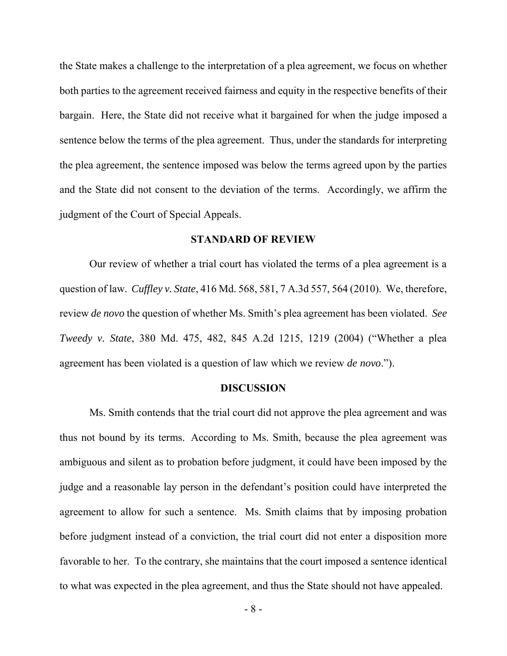the State makes a challenge to the interpretation of a plea agreement, we focus on whether both parties to the agreement received fairness and equity in the respective benefits of their bargain. Here, the State did not receive what it bargained for when the judge imposed a sentence below the terms of the plea agreement. Thus, under the standards for interpreting the plea agreement, the sentence imposed was below the terms agreed upon by the parties and the State did not consent to the deviation of the terms. Accordingly, we affirm the judgment of the Court of Special Appeals.

#### **STANDARD OF REVIEW**

Our review of whether a trial court has violated the terms of a plea agreement is a question of law. *Cuffley v. State*, 416 Md. 568, 581, 7 A.3d 557, 564 (2010). We, therefore, review *de novo* the question of whether Ms. Smith's plea agreement has been violated. *See Tweedy v. State*, 380 Md. 475, 482, 845 A.2d 1215, 1219 (2004) ("Whether a plea agreement has been violated is a question of law which we review *de novo*.").

#### **DISCUSSION**

Ms. Smith contends that the trial court did not approve the plea agreement and was thus not bound by its terms. According to Ms. Smith, because the plea agreement was ambiguous and silent as to probation before judgment, it could have been imposed by the judge and a reasonable lay person in the defendant's position could have interpreted the agreement to allow for such a sentence. Ms. Smith claims that by imposing probation before judgment instead of a conviction, the trial court did not enter a disposition more favorable to her. To the contrary, she maintains that the court imposed a sentence identical to what was expected in the plea agreement, and thus the State should not have appealed.

- 8 -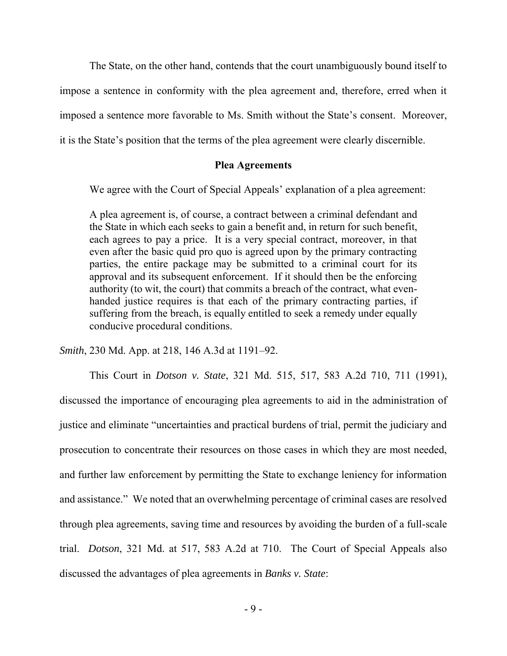The State, on the other hand, contends that the court unambiguously bound itself to impose a sentence in conformity with the plea agreement and, therefore, erred when it imposed a sentence more favorable to Ms. Smith without the State's consent. Moreover, it is the State's position that the terms of the plea agreement were clearly discernible.

### **Plea Agreements**

We agree with the Court of Special Appeals' explanation of a plea agreement:

A plea agreement is, of course, a contract between a criminal defendant and the State in which each seeks to gain a benefit and, in return for such benefit, each agrees to pay a price. It is a very special contract, moreover, in that even after the basic quid pro quo is agreed upon by the primary contracting parties, the entire package may be submitted to a criminal court for its approval and its subsequent enforcement. If it should then be the enforcing authority (to wit, the court) that commits a breach of the contract, what evenhanded justice requires is that each of the primary contracting parties, if suffering from the breach, is equally entitled to seek a remedy under equally conducive procedural conditions.

*Smith*, 230 Md. App. at 218, 146 A.3d at 1191–92.

This Court in *Dotson v. State*, 321 Md. 515, 517, 583 A.2d 710, 711 (1991), discussed the importance of encouraging plea agreements to aid in the administration of justice and eliminate "uncertainties and practical burdens of trial, permit the judiciary and prosecution to concentrate their resources on those cases in which they are most needed, and further law enforcement by permitting the State to exchange leniency for information and assistance." We noted that an overwhelming percentage of criminal cases are resolved through plea agreements, saving time and resources by avoiding the burden of a full-scale trial. *Dotson*, 321 Md. at 517, 583 A.2d at 710. The Court of Special Appeals also discussed the advantages of plea agreements in *Banks v. State*: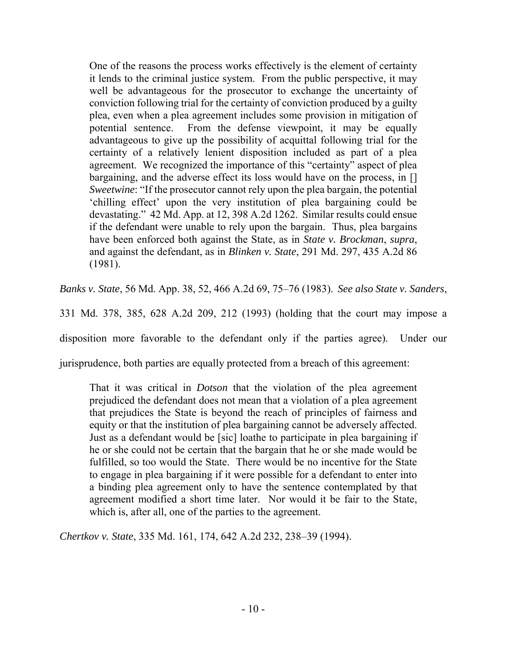One of the reasons the process works effectively is the element of certainty it lends to the criminal justice system. From the public perspective, it may well be advantageous for the prosecutor to exchange the uncertainty of conviction following trial for the certainty of conviction produced by a guilty plea, even when a plea agreement includes some provision in mitigation of potential sentence. From the defense viewpoint, it may be equally advantageous to give up the possibility of acquittal following trial for the certainty of a relatively lenient disposition included as part of a plea agreement. We recognized the importance of this "certainty" aspect of plea bargaining, and the adverse effect its loss would have on the process, in [] *Sweetwine*: "If the prosecutor cannot rely upon the plea bargain, the potential 'chilling effect' upon the very institution of plea bargaining could be devastating." 42 Md. App. at 12, 398 A.2d 1262. Similar results could ensue if the defendant were unable to rely upon the bargain. Thus, plea bargains have been enforced both against the State, as in *State v. Brockman*, *supra*, and against the defendant, as in *Blinken v. State*, 291 Md. 297, 435 A.2d 86 (1981).

*Banks v. State*, 56 Md. App. 38, 52, 466 A.2d 69, 75–76 (1983). *See also State v. Sanders*,

331 Md. 378, 385, 628 A.2d 209, 212 (1993) (holding that the court may impose a

disposition more favorable to the defendant only if the parties agree). Under our

jurisprudence, both parties are equally protected from a breach of this agreement:

That it was critical in *Dotson* that the violation of the plea agreement prejudiced the defendant does not mean that a violation of a plea agreement that prejudices the State is beyond the reach of principles of fairness and equity or that the institution of plea bargaining cannot be adversely affected. Just as a defendant would be [sic] loathe to participate in plea bargaining if he or she could not be certain that the bargain that he or she made would be fulfilled, so too would the State. There would be no incentive for the State to engage in plea bargaining if it were possible for a defendant to enter into a binding plea agreement only to have the sentence contemplated by that agreement modified a short time later. Nor would it be fair to the State, which is, after all, one of the parties to the agreement.

*Chertkov v. State*, 335 Md. 161, 174, 642 A.2d 232, 238–39 (1994).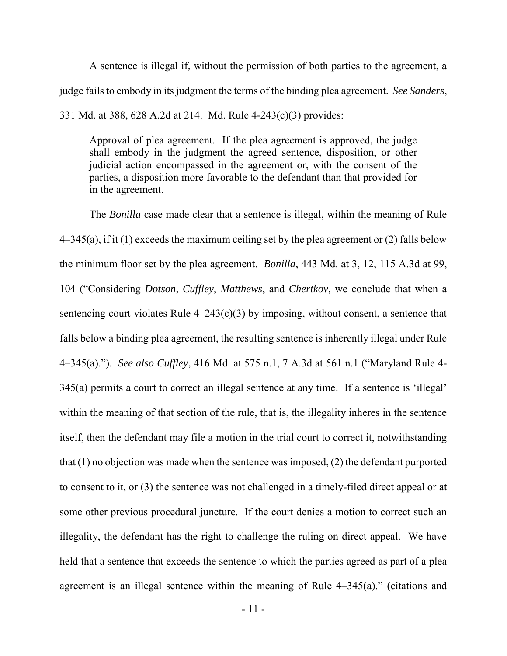A sentence is illegal if, without the permission of both parties to the agreement, a judge fails to embody in its judgment the terms of the binding plea agreement. *See Sanders*, 331 Md. at 388, 628 A.2d at 214. Md. Rule 4-243(c)(3) provides:

Approval of plea agreement. If the plea agreement is approved, the judge shall embody in the judgment the agreed sentence, disposition, or other judicial action encompassed in the agreement or, with the consent of the parties, a disposition more favorable to the defendant than that provided for in the agreement.

The *Bonilla* case made clear that a sentence is illegal, within the meaning of Rule  $4-345(a)$ , if it (1) exceeds the maximum ceiling set by the plea agreement or (2) falls below the minimum floor set by the plea agreement. *Bonilla*, 443 Md. at 3, 12, 115 A.3d at 99, 104 ("Considering *Dotson*, *Cuffley*, *Matthews*, and *Chertkov*, we conclude that when a sentencing court violates Rule  $4-243(c)(3)$  by imposing, without consent, a sentence that falls below a binding plea agreement, the resulting sentence is inherently illegal under Rule 4–345(a)."). *See also Cuffley*, 416 Md. at 575 n.1, 7 A.3d at 561 n.1 ("Maryland Rule 4- 345(a) permits a court to correct an illegal sentence at any time. If a sentence is 'illegal' within the meaning of that section of the rule, that is, the illegality inheres in the sentence itself, then the defendant may file a motion in the trial court to correct it, notwithstanding that (1) no objection was made when the sentence was imposed, (2) the defendant purported to consent to it, or (3) the sentence was not challenged in a timely-filed direct appeal or at some other previous procedural juncture. If the court denies a motion to correct such an illegality, the defendant has the right to challenge the ruling on direct appeal. We have held that a sentence that exceeds the sentence to which the parties agreed as part of a plea agreement is an illegal sentence within the meaning of Rule 4–345(a)." (citations and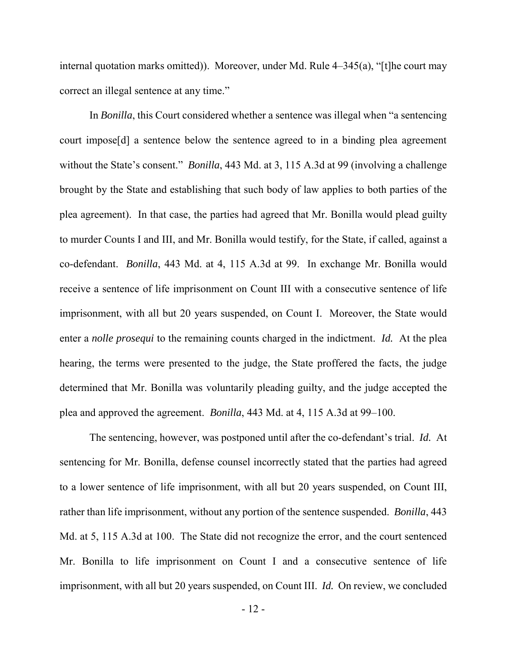internal quotation marks omitted)). Moreover, under Md. Rule 4–345(a), "[t]he court may correct an illegal sentence at any time."

In *Bonilla*, this Court considered whether a sentence was illegal when "a sentencing court impose[d] a sentence below the sentence agreed to in a binding plea agreement without the State's consent." *Bonilla*, 443 Md. at 3, 115 A.3d at 99 (involving a challenge brought by the State and establishing that such body of law applies to both parties of the plea agreement). In that case, the parties had agreed that Mr. Bonilla would plead guilty to murder Counts I and III, and Mr. Bonilla would testify, for the State, if called, against a co-defendant. *Bonilla*, 443 Md. at 4, 115 A.3d at 99. In exchange Mr. Bonilla would receive a sentence of life imprisonment on Count III with a consecutive sentence of life imprisonment, with all but 20 years suspended, on Count I. Moreover, the State would enter a *nolle prosequi* to the remaining counts charged in the indictment. *Id.* At the plea hearing, the terms were presented to the judge, the State proffered the facts, the judge determined that Mr. Bonilla was voluntarily pleading guilty, and the judge accepted the plea and approved the agreement. *Bonilla*, 443 Md. at 4, 115 A.3d at 99–100.

The sentencing, however, was postponed until after the co-defendant's trial. *Id.* At sentencing for Mr. Bonilla, defense counsel incorrectly stated that the parties had agreed to a lower sentence of life imprisonment, with all but 20 years suspended, on Count III, rather than life imprisonment, without any portion of the sentence suspended. *Bonilla*, 443 Md. at 5, 115 A.3d at 100. The State did not recognize the error, and the court sentenced Mr. Bonilla to life imprisonment on Count I and a consecutive sentence of life imprisonment, with all but 20 years suspended, on Count III. *Id.* On review, we concluded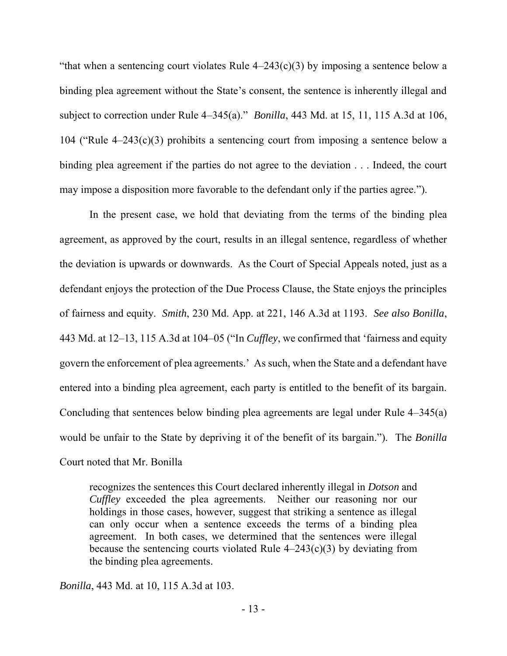"that when a sentencing court violates Rule  $4-243(c)(3)$  by imposing a sentence below a binding plea agreement without the State's consent, the sentence is inherently illegal and subject to correction under Rule 4–345(a)." *Bonilla*, 443 Md. at 15, 11, 115 A.3d at 106, 104 ("Rule 4–243(c)(3) prohibits a sentencing court from imposing a sentence below a binding plea agreement if the parties do not agree to the deviation . . . Indeed, the court may impose a disposition more favorable to the defendant only if the parties agree.").

In the present case, we hold that deviating from the terms of the binding plea agreement, as approved by the court, results in an illegal sentence, regardless of whether the deviation is upwards or downwards. As the Court of Special Appeals noted, just as a defendant enjoys the protection of the Due Process Clause, the State enjoys the principles of fairness and equity. *Smith*, 230 Md. App. at 221, 146 A.3d at 1193. *See also Bonilla*, 443 Md. at 12–13, 115 A.3d at 104–05 ("In *Cuffley*, we confirmed that 'fairness and equity govern the enforcement of plea agreements.' As such, when the State and a defendant have entered into a binding plea agreement, each party is entitled to the benefit of its bargain. Concluding that sentences below binding plea agreements are legal under Rule 4–345(a) would be unfair to the State by depriving it of the benefit of its bargain."). The *Bonilla* Court noted that Mr. Bonilla

recognizes the sentences this Court declared inherently illegal in *Dotson* and *Cuffley* exceeded the plea agreements. Neither our reasoning nor our holdings in those cases, however, suggest that striking a sentence as illegal can only occur when a sentence exceeds the terms of a binding plea agreement. In both cases, we determined that the sentences were illegal because the sentencing courts violated Rule  $4-243(c)(3)$  by deviating from the binding plea agreements.

*Bonilla*, 443 Md. at 10, 115 A.3d at 103.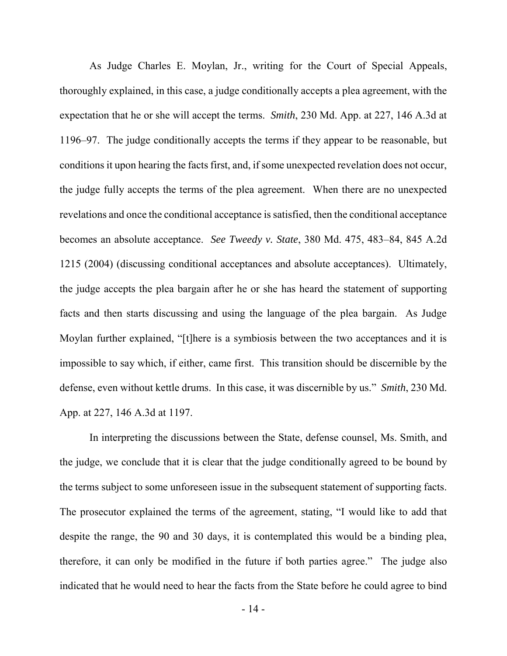As Judge Charles E. Moylan, Jr., writing for the Court of Special Appeals, thoroughly explained, in this case, a judge conditionally accepts a plea agreement, with the expectation that he or she will accept the terms. *Smith*, 230 Md. App. at 227, 146 A.3d at 1196–97. The judge conditionally accepts the terms if they appear to be reasonable, but conditions it upon hearing the facts first, and, if some unexpected revelation does not occur, the judge fully accepts the terms of the plea agreement. When there are no unexpected revelations and once the conditional acceptance is satisfied, then the conditional acceptance becomes an absolute acceptance. *See Tweedy v. State*, 380 Md. 475, 483–84, 845 A.2d 1215 (2004) (discussing conditional acceptances and absolute acceptances). Ultimately, the judge accepts the plea bargain after he or she has heard the statement of supporting facts and then starts discussing and using the language of the plea bargain. As Judge Moylan further explained, "[t]here is a symbiosis between the two acceptances and it is impossible to say which, if either, came first. This transition should be discernible by the defense, even without kettle drums. In this case, it was discernible by us." *Smith*, 230 Md. App. at 227, 146 A.3d at 1197.

 In interpreting the discussions between the State, defense counsel, Ms. Smith, and the judge, we conclude that it is clear that the judge conditionally agreed to be bound by the terms subject to some unforeseen issue in the subsequent statement of supporting facts. The prosecutor explained the terms of the agreement, stating, "I would like to add that despite the range, the 90 and 30 days, it is contemplated this would be a binding plea, therefore, it can only be modified in the future if both parties agree." The judge also indicated that he would need to hear the facts from the State before he could agree to bind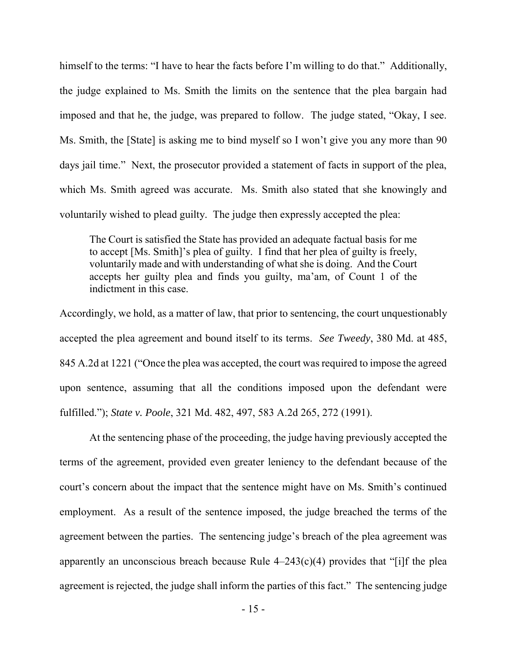himself to the terms: "I have to hear the facts before I'm willing to do that." Additionally, the judge explained to Ms. Smith the limits on the sentence that the plea bargain had imposed and that he, the judge, was prepared to follow. The judge stated, "Okay, I see. Ms. Smith, the [State] is asking me to bind myself so I won't give you any more than 90 days jail time." Next, the prosecutor provided a statement of facts in support of the plea, which Ms. Smith agreed was accurate. Ms. Smith also stated that she knowingly and voluntarily wished to plead guilty. The judge then expressly accepted the plea:

The Court is satisfied the State has provided an adequate factual basis for me to accept [Ms. Smith]'s plea of guilty. I find that her plea of guilty is freely, voluntarily made and with understanding of what she is doing. And the Court accepts her guilty plea and finds you guilty, ma'am, of Count 1 of the indictment in this case.

Accordingly, we hold, as a matter of law, that prior to sentencing, the court unquestionably accepted the plea agreement and bound itself to its terms. *See Tweedy*, 380 Md. at 485, 845 A.2d at 1221 ("Once the plea was accepted, the court was required to impose the agreed upon sentence, assuming that all the conditions imposed upon the defendant were fulfilled."); *State v. Poole*, 321 Md. 482, 497, 583 A.2d 265, 272 (1991).

At the sentencing phase of the proceeding, the judge having previously accepted the terms of the agreement, provided even greater leniency to the defendant because of the court's concern about the impact that the sentence might have on Ms. Smith's continued employment. As a result of the sentence imposed, the judge breached the terms of the agreement between the parties. The sentencing judge's breach of the plea agreement was apparently an unconscious breach because Rule  $4-243(c)(4)$  provides that "[i]f the plea agreement is rejected, the judge shall inform the parties of this fact." The sentencing judge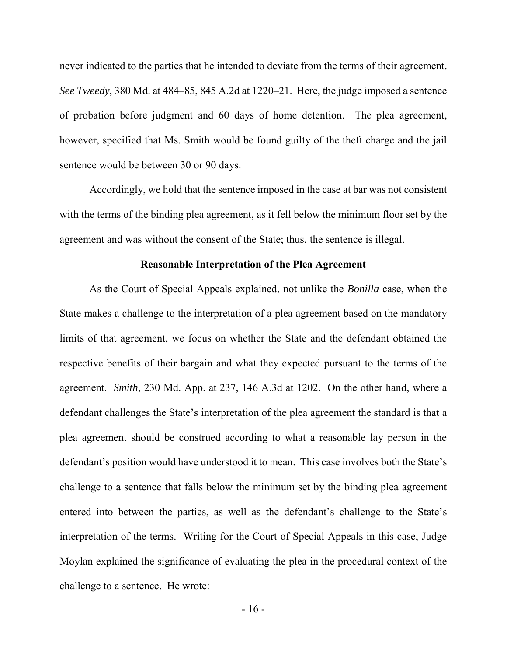never indicated to the parties that he intended to deviate from the terms of their agreement. *See Tweedy*, 380 Md. at 484–85, 845 A.2d at 1220–21. Here, the judge imposed a sentence of probation before judgment and 60 days of home detention. The plea agreement, however, specified that Ms. Smith would be found guilty of the theft charge and the jail sentence would be between 30 or 90 days.

Accordingly, we hold that the sentence imposed in the case at bar was not consistent with the terms of the binding plea agreement, as it fell below the minimum floor set by the agreement and was without the consent of the State; thus, the sentence is illegal.

### **Reasonable Interpretation of the Plea Agreement**

 As the Court of Special Appeals explained, not unlike the *Bonilla* case, when the State makes a challenge to the interpretation of a plea agreement based on the mandatory limits of that agreement, we focus on whether the State and the defendant obtained the respective benefits of their bargain and what they expected pursuant to the terms of the agreement. *Smith*, 230 Md. App. at 237, 146 A.3d at 1202. On the other hand, where a defendant challenges the State's interpretation of the plea agreement the standard is that a plea agreement should be construed according to what a reasonable lay person in the defendant's position would have understood it to mean. This case involves both the State's challenge to a sentence that falls below the minimum set by the binding plea agreement entered into between the parties, as well as the defendant's challenge to the State's interpretation of the terms. Writing for the Court of Special Appeals in this case, Judge Moylan explained the significance of evaluating the plea in the procedural context of the challenge to a sentence. He wrote: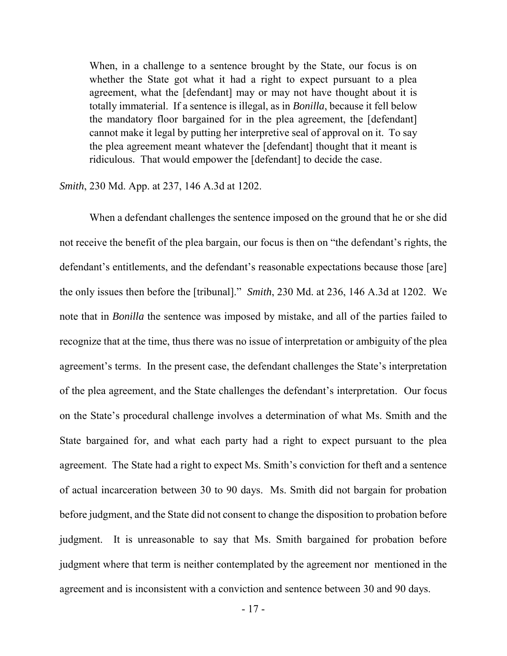When, in a challenge to a sentence brought by the State, our focus is on whether the State got what it had a right to expect pursuant to a plea agreement, what the [defendant] may or may not have thought about it is totally immaterial. If a sentence is illegal, as in *Bonilla*, because it fell below the mandatory floor bargained for in the plea agreement, the [defendant] cannot make it legal by putting her interpretive seal of approval on it. To say the plea agreement meant whatever the [defendant] thought that it meant is ridiculous. That would empower the [defendant] to decide the case.

#### *Smith*, 230 Md. App. at 237, 146 A.3d at 1202.

 When a defendant challenges the sentence imposed on the ground that he or she did not receive the benefit of the plea bargain, our focus is then on "the defendant's rights, the defendant's entitlements, and the defendant's reasonable expectations because those [are] the only issues then before the [tribunal]." *Smith*, 230 Md. at 236, 146 A.3d at 1202. We note that in *Bonilla* the sentence was imposed by mistake, and all of the parties failed to recognize that at the time, thus there was no issue of interpretation or ambiguity of the plea agreement's terms. In the present case, the defendant challenges the State's interpretation of the plea agreement, and the State challenges the defendant's interpretation. Our focus on the State's procedural challenge involves a determination of what Ms. Smith and the State bargained for, and what each party had a right to expect pursuant to the plea agreement. The State had a right to expect Ms. Smith's conviction for theft and a sentence of actual incarceration between 30 to 90 days. Ms. Smith did not bargain for probation before judgment, and the State did not consent to change the disposition to probation before judgment. It is unreasonable to say that Ms. Smith bargained for probation before judgment where that term is neither contemplated by the agreement nor mentioned in the agreement and is inconsistent with a conviction and sentence between 30 and 90 days.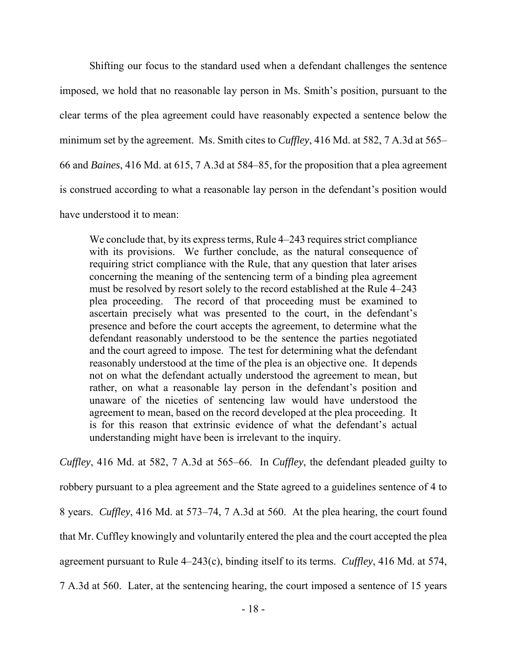Shifting our focus to the standard used when a defendant challenges the sentence imposed, we hold that no reasonable lay person in Ms. Smith's position, pursuant to the clear terms of the plea agreement could have reasonably expected a sentence below the minimum set by the agreement. Ms. Smith cites to *Cuffley*, 416 Md. at 582, 7 A.3d at 565– 66 and *Baines*, 416 Md. at 615, 7 A.3d at 584–85, for the proposition that a plea agreement is construed according to what a reasonable lay person in the defendant's position would have understood it to mean:

We conclude that, by its express terms, Rule 4–243 requires strict compliance with its provisions. We further conclude, as the natural consequence of requiring strict compliance with the Rule, that any question that later arises concerning the meaning of the sentencing term of a binding plea agreement must be resolved by resort solely to the record established at the Rule 4–243 plea proceeding. The record of that proceeding must be examined to ascertain precisely what was presented to the court, in the defendant's presence and before the court accepts the agreement, to determine what the defendant reasonably understood to be the sentence the parties negotiated and the court agreed to impose. The test for determining what the defendant reasonably understood at the time of the plea is an objective one. It depends not on what the defendant actually understood the agreement to mean, but rather, on what a reasonable lay person in the defendant's position and unaware of the niceties of sentencing law would have understood the agreement to mean, based on the record developed at the plea proceeding. It is for this reason that extrinsic evidence of what the defendant's actual understanding might have been is irrelevant to the inquiry.

*Cuffley*, 416 Md. at 582, 7 A.3d at 565–66. In *Cuffley*, the defendant pleaded guilty to robbery pursuant to a plea agreement and the State agreed to a guidelines sentence of 4 to 8 years. *Cuffley*, 416 Md. at 573–74, 7 A.3d at 560. At the plea hearing, the court found that Mr. Cuffley knowingly and voluntarily entered the plea and the court accepted the plea agreement pursuant to Rule 4–243(c), binding itself to its terms. *Cuffley*, 416 Md. at 574, 7 A.3d at 560. Later, at the sentencing hearing, the court imposed a sentence of 15 years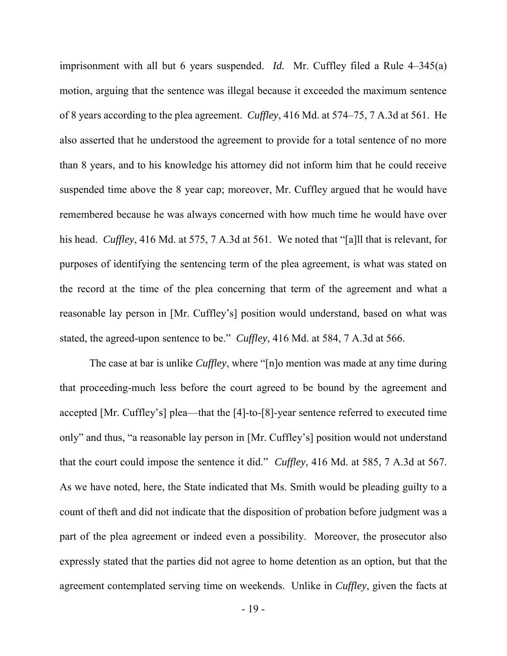imprisonment with all but 6 years suspended. *Id.* Mr. Cuffley filed a Rule 4–345(a) motion, arguing that the sentence was illegal because it exceeded the maximum sentence of 8 years according to the plea agreement. *Cuffley*, 416 Md. at 574–75, 7 A.3d at 561. He also asserted that he understood the agreement to provide for a total sentence of no more than 8 years, and to his knowledge his attorney did not inform him that he could receive suspended time above the 8 year cap; moreover, Mr. Cuffley argued that he would have remembered because he was always concerned with how much time he would have over his head. *Cuffley*, 416 Md. at 575, 7 A.3d at 561. We noted that "[a]ll that is relevant, for purposes of identifying the sentencing term of the plea agreement, is what was stated on the record at the time of the plea concerning that term of the agreement and what a reasonable lay person in [Mr. Cuffley's] position would understand, based on what was stated, the agreed-upon sentence to be." *Cuffley*, 416 Md. at 584, 7 A.3d at 566.

The case at bar is unlike *Cuffley*, where "[n]o mention was made at any time during that proceeding-much less before the court agreed to be bound by the agreement and accepted [Mr. Cuffley's] plea—that the [4]-to-[8]-year sentence referred to executed time only" and thus, "a reasonable lay person in [Mr. Cuffley's] position would not understand that the court could impose the sentence it did." *Cuffley*, 416 Md. at 585, 7 A.3d at 567. As we have noted, here, the State indicated that Ms. Smith would be pleading guilty to a count of theft and did not indicate that the disposition of probation before judgment was a part of the plea agreement or indeed even a possibility. Moreover, the prosecutor also expressly stated that the parties did not agree to home detention as an option, but that the agreement contemplated serving time on weekends. Unlike in *Cuffley*, given the facts at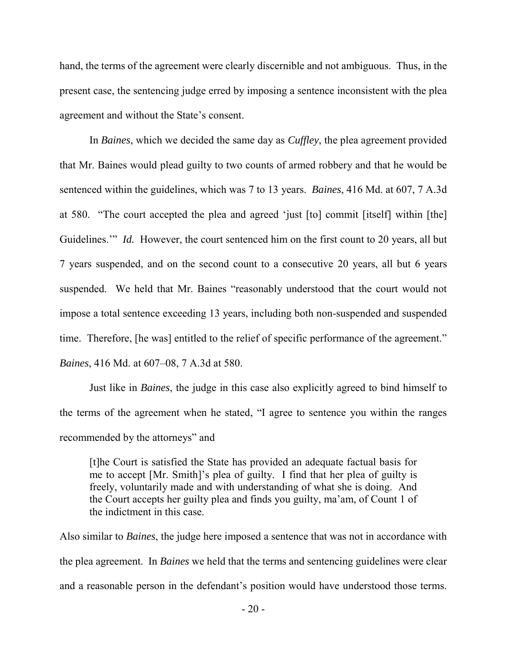hand, the terms of the agreement were clearly discernible and not ambiguous. Thus, in the present case, the sentencing judge erred by imposing a sentence inconsistent with the plea agreement and without the State's consent.

In *Baines*, which we decided the same day as *Cuffley*, the plea agreement provided that Mr. Baines would plead guilty to two counts of armed robbery and that he would be sentenced within the guidelines, which was 7 to 13 years. *Baines*, 416 Md. at 607, 7 A.3d at 580. "The court accepted the plea and agreed 'just [to] commit [itself] within [the] Guidelines." *Id.* However, the court sentenced him on the first count to 20 years, all but 7 years suspended, and on the second count to a consecutive 20 years, all but 6 years suspended. We held that Mr. Baines "reasonably understood that the court would not impose a total sentence exceeding 13 years, including both non-suspended and suspended time. Therefore, [he was] entitled to the relief of specific performance of the agreement." *Baines*, 416 Md. at 607–08, 7 A.3d at 580.

 Just like in *Baines*, the judge in this case also explicitly agreed to bind himself to the terms of the agreement when he stated, "I agree to sentence you within the ranges recommended by the attorneys" and

[t]he Court is satisfied the State has provided an adequate factual basis for me to accept [Mr. Smith]'s plea of guilty. I find that her plea of guilty is freely, voluntarily made and with understanding of what she is doing. And the Court accepts her guilty plea and finds you guilty, ma'am, of Count 1 of the indictment in this case.

Also similar to *Baines*, the judge here imposed a sentence that was not in accordance with the plea agreement. In *Baines* we held that the terms and sentencing guidelines were clear and a reasonable person in the defendant's position would have understood those terms.